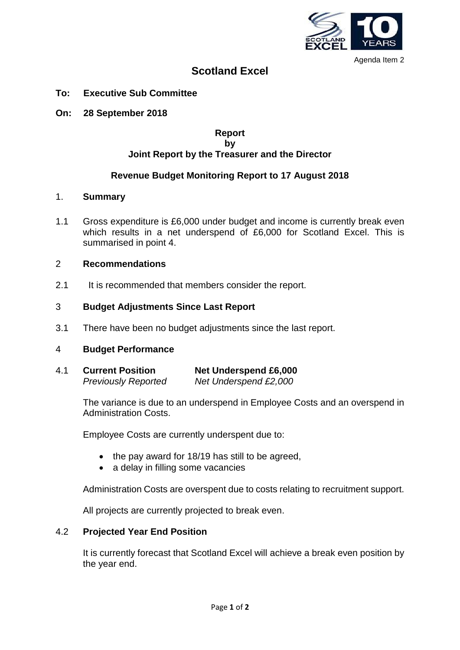

Agenda Item 2

# **Scotland Excel**

- **To: Executive Sub Committee**
- **On: 28 September 2018**

# **Report by Joint Report by the Treasurer and the Director**

# **Revenue Budget Monitoring Report to 17 August 2018**

### 1. **Summary**

1.1 Gross expenditure is £6,000 under budget and income is currently break even which results in a net underspend of £6,000 for Scotland Excel. This is summarised in point 4.

# 2 **Recommendations**

2.1 It is recommended that members consider the report.

# 3 **Budget Adjustments Since Last Report**

3.1 There have been no budget adjustments since the last report.

### 4 **Budget Performance**

4.1 **Current Position Net Underspend £6,000** *Previously Reported Net Underspend £2,000*

> The variance is due to an underspend in Employee Costs and an overspend in Administration Costs.

Employee Costs are currently underspent due to:

- the pay award for 18/19 has still to be agreed,
- a delay in filling some vacancies

Administration Costs are overspent due to costs relating to recruitment support.

All projects are currently projected to break even.

## 4.2 **Projected Year End Position**

It is currently forecast that Scotland Excel will achieve a break even position by the year end.